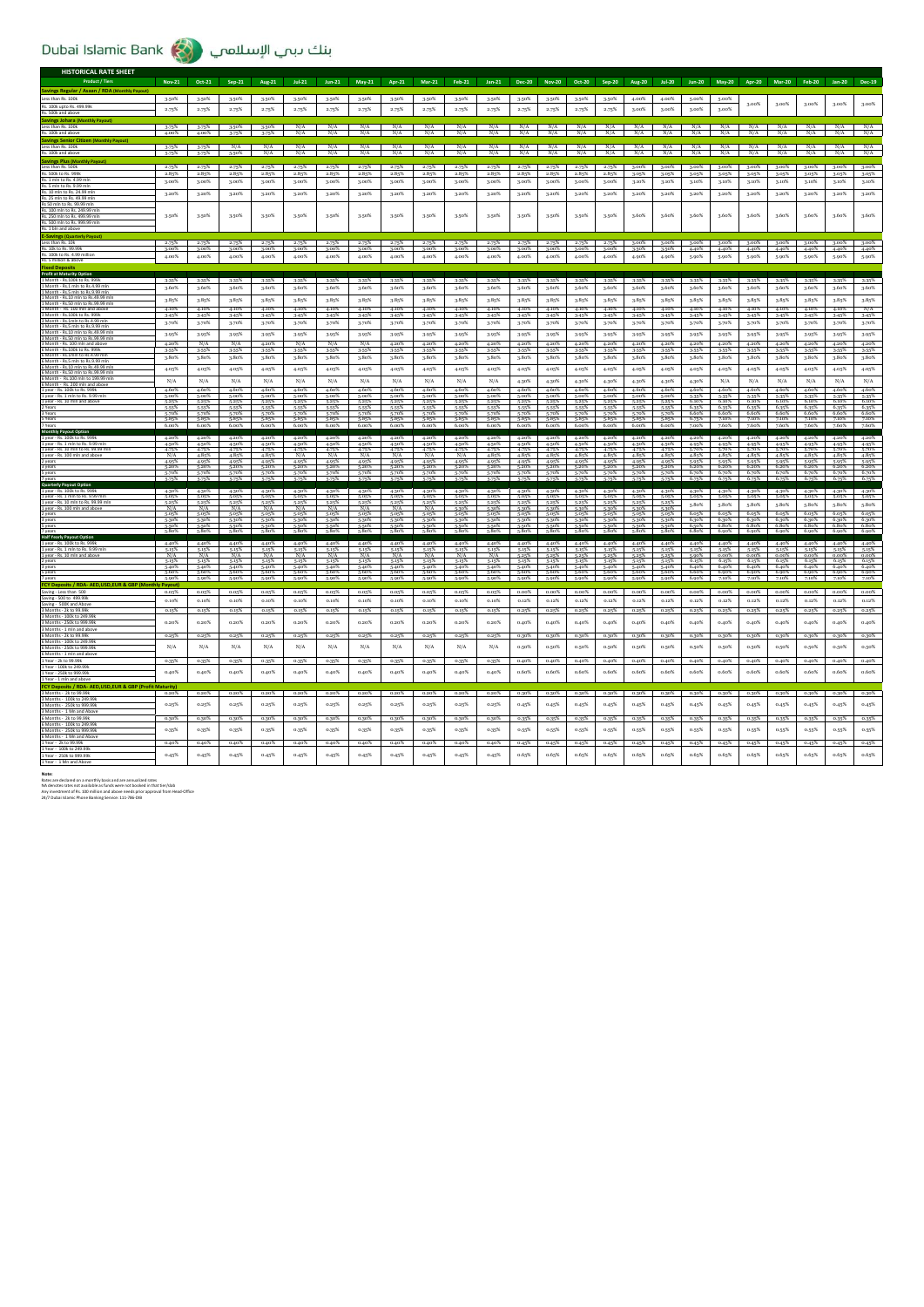|                                                                                               | <b>Nov-21</b>                 | Oct-21                  | $Sep-21$       | Aug-21         | $Jul-21$                      | $Jun-21$                      | May-21                        | Apr-21                        | $Mar-21$                      | $Feb-21$                      | $Jan-21$       | Dec-20            | <b>Nov-20</b>  | Oct-20               | Sep-20                     | Aug-20            | $Jul-20$       | $Jun-20$                | May-20            | Apr-20         | Mar-20         | <b>Feb-20</b>             | Jan-20                  | <b>Dec-19</b>               |
|-----------------------------------------------------------------------------------------------|-------------------------------|-------------------------|----------------|----------------|-------------------------------|-------------------------------|-------------------------------|-------------------------------|-------------------------------|-------------------------------|----------------|-------------------|----------------|----------------------|----------------------------|-------------------|----------------|-------------------------|-------------------|----------------|----------------|---------------------------|-------------------------|-----------------------------|
| Savings Regular / Asaan / RDA (Monthly Payout)<br>Less than Rs. 100k                          | 3.50%                         | 3.50%                   | 3.50%          | 3.50%          | 3.50%                         | 3.50%                         | 3.50%                         | 3.50%                         | 3.50%                         | 3.50%                         | 3.50%          | 3.50%             | 3.50%          | 3.50%                | 3.50%                      | 4.00%             | 4.00%          | 5.00%                   | 5.00%             |                |                |                           |                         |                             |
| Rs. 100k upto Rs. 499.99k                                                                     | 2.75%                         | 2.75%                   | 2.75%          | 2.75%          | 2.75%                         | 2.75%                         | 2.75%                         | 2.75%                         | 2.75%                         | 2.75%                         | 2.75%          | 2.75%             | 2.75%          | 2.75%                | 2.75%                      | 3.00%             | 2.00%          | 3,00%                   | 3.00%             | 2.00%          | 3.00%          | 3.00%                     | 3.00%                   | 3.00%                       |
| Rs. 500k and abi<br><b>Savings Johara (Monthly Payout)</b>                                    |                               |                         |                |                |                               |                               |                               |                               |                               |                               |                |                   |                |                      |                            |                   |                |                         |                   |                |                |                           |                         |                             |
| Less than Rs. 100k                                                                            | 3.75%                         | $3-75%$                 | 3.50%          | 3.50%          | N/A<br>N/A                    | N/A                           | N/A                           | N/A                           | N/A                           | N/A                           | N/A            | N/A               | N/A            | N/A                  | N/A                        | N/A               | N/A            | N/A                     | N/A               | N/A            | N/A            | N/A                       | N/A                     | $\frac{N/A}{N/A}$           |
| Rs. 100k and abo<br>Savings Senior Citizen (Monthly Par                                       |                               |                         |                |                |                               | N/A                           | N/A                           | N/A                           | N/A                           | N/A                           | N/A            | N/A               | N/A            | N/A                  | N/A                        | N/A               | N/A            | N/A                     | N/A               | N/A            | N/A            | N/A                       | N/A                     |                             |
| Less than Rs. 100k<br>Rs. 100k and abov                                                       | 3.75% 3.75%<br>5.75%          | 5.75%                   | N/A<br>5.50%   | N/A<br>N/A     | N/A<br>N/A                    | N/A<br>N/A                    | N/A<br>N/A                    | N/A<br>N/A                    | N/A<br>N/A                    | N/A<br>N/A                    | N/A<br>N/A     | N/A<br>N/A        | N/A<br>N/A     | N/A<br>N/A           | N/A<br>N/A                 | N/A<br>N/A        | N/A<br>N/A     | N/A<br>N/A              | N/A<br>N/A        | N/A<br>N/A     | N/A<br>N/A     | N/A<br>N/A                | N/A<br>N/A              | N/A<br>N/A                  |
| vings Plus (M                                                                                 |                               |                         |                |                |                               |                               |                               |                               |                               |                               |                |                   |                |                      |                            |                   |                |                         |                   |                |                |                           |                         |                             |
| Less than Rs. 500k<br>Rs. 500k to Rs. 9991                                                    | 2.75%<br>2.85%                | 2.75%<br>2.85%          | 2.75%<br>2.85% | 2.75%<br>2.85% | 2.75%<br>2.85%                | 2.75%<br>2.85%                | 2.75%<br>2.85%                | 2.75%<br>2.85%                | 2.75%<br>2.85%                | 2.75%<br>2.85%                | 2.75%<br>2.85% | 2.75%<br>2.85%    | 2.75%<br>2.85% | 2.75%<br>2.85%       | 2.75%<br>2.85%             | $3.00\%$<br>3.05% | 3.00%<br>3-05% | 2.00%<br>3.05%          | $3.00\%$<br>3.05% | 3.00%<br>3-05% | 3.00%<br>3.05% | 3.00%<br>3.05%            | $3.00\%$<br>3.05%       | 3.00%<br>3.05%              |
| Rs 1 mln to Rs 4 99 mln<br>Rs. 5 mln to Rs. 9.99 mln                                          | 3.00%                         | 3.00%                   | 3.00%          | 3.00%          | 3.00%                         | 3.00%                         | 3.00%                         | 3.00%                         | 3.00%                         | 3.00%                         | $3.00\%$       | 3.00%             | 3.00%          | 3.00%                | 3.00%                      | 3.10%             | 3.10%          | 3.10%                   | 3.10%             | 3.10%          | 3.10%          | 3.10%                     | 3.10%                   | 3.10%                       |
| Rs. 10 mln to Rs. 24.99 mln                                                                   | 3.20%                         | 3.20%                   | 3.20%          | 3.20%          | 3.20%                         | 3.20%                         | 3.20%                         | 3.20%                         | 3.20%                         | 3.20%                         | 3.20%          | 3.20%             | 3.20%          | 3.20%                | 3.20%                      | 3.20%             | 3.20%          | 3.20%                   | 3.20%             | 3.20%          | 3.20%          | 3.20%                     | 3.20%                   | 3.20%                       |
| Rs. 25 mln to Rs. 49.99 mln<br>Rs 50 mln to Rs. 99.99 ml                                      |                               |                         |                |                |                               |                               |                               |                               |                               |                               |                |                   |                |                      |                            |                   |                |                         |                   |                |                |                           |                         |                             |
| Rs. 100 mln to Rs. 249.99 r<br>Rs. 250 mln to Rs. 499.99 mli<br>Rs. 500 mln to Rs. 999.99 mli | 3.50%                         | 3.50%                   | 3.50%          | 3.50%          | 3.50%                         | 3.50%                         | 3.50%                         | 3.50%                         | 3.50%                         | 3.50%                         | 3.50%          | 3.50%             | 3.50%          | 3.50%                | 3.50%                      | 3.60%             | 3.60%          | 3,60%                   | 3.60%             | 3.60%          | 3.60%          | 3.60%                     | 3.60%                   | 3.60%                       |
|                                                                                               |                               |                         |                |                |                               |                               |                               |                               |                               |                               |                |                   |                |                      |                            |                   |                |                         |                   |                |                |                           |                         |                             |
|                                                                                               |                               |                         |                |                |                               |                               |                               |                               |                               |                               |                |                   |                |                      |                            |                   |                |                         |                   |                |                |                           |                         |                             |
| Rs. 10k to Rs. 99.99                                                                          | 2.75%<br>3.00%                | 2.75%<br>3.00%          | 2.75%<br>3.00% | 2.75%<br>3.00% | 2.75%<br>3.00%                | 2.75%<br>3.00%                | 2.75%<br>3.00%                | 2.75%<br>3.00%                | 2.75%<br>3.00%                | 2.75%<br>3.00%                | 2.75%<br>3.00% | 2.75%<br>3.00%    | 2.75%<br>3.00% | 3.00%                | $\frac{2.75\%}{3.00\%}$    | 3.00%<br>3.50%    | 3.00%<br>3.50% | 3.00%<br>4.40%          | 3.00%<br>4.40%    | 3.00%<br>4.40% | 3.00%<br>4.40% | 3.00%<br>4.40%            | 3.00%<br>4.40%          | 3.00%<br>4.40%              |
| Rs. 100k to Rs. 4.99 million<br>Rs. 5 million & above                                         | 4.00%                         | 4.00%                   | 4.00%          | 4.00%          | 4.00%                         | 4.00%                         | 4.00%                         | 4.00%                         | 4.00%                         | 4.00%                         | 4.00%          | 4.00%             | 4.00%          | 4.00%                | 4.00%                      | 4.90%             | 4.90%          | 5.90%                   | 5.90%             | 5.90%          | 5.90%          | 5.90%                     | 5.90%                   | 5.90%                       |
|                                                                                               |                               |                         |                |                |                               |                               |                               |                               |                               |                               |                |                   |                |                      |                            |                   |                |                         |                   |                |                |                           |                         |                             |
| Month - Rs.100k to Rs. 999k<br>Month - Rs.1 mln to Rs.4.99                                    | 3.35%                         | 3-35%                   | 3-35%          | 3.35%          | 3.35%                         | 3.35%                         | 3-35%                         | 2.35%                         | 3.35%                         | 3-35%                         | 3.35%          | 3.35%             | 3-35%          | 3.35%                | 3-35%                      | 3.35%             | 3.35%          | 3-35%                   | 3.35%             | 3.35%          | 3.35%          | 2.35%                     | 3.35%                   | 3-35%                       |
| Month - Rs.5 mln to Rs.9.99 mln                                                               | 3.60%                         | 3.60%                   | 3.60%          | 3.60%          | 3.60%                         | 3.60%                         | 3.60%                         | 3.60%                         | 3.60%                         | 3.60%                         | 3.60%          | 3.60%             | 3.60%          | 3.60%                | 3.60%                      | 3.60%             | 3.60%          | 3.60%                   | 3.60%             | 3.60%          | 3.60%          | 3.60%                     | 3.60%                   | 3.60%                       |
| Month - Rs.50 mln to Rs.99.99 ml                                                              | 3.85%                         | $3.85\%$                | $3.85\%$       | 3.85%          | $3.85\%$                      | 3.85%                         | $3.85\%$                      | $3.85\%$                      | 3.85%                         | 3.85%                         | 3.85%          | $3.85\%$          | 3.85%          | 3.85%                | $3.85\%$                   | $3.85\%$          | 3.85%          | $3.85\%$                | $3.85\%$          | $3.85\%$       | $3.85\%$       | $3.85\%$                  | 3.85%                   | 3.85%                       |
| Month - Rs. 100k to Rs. 999k                                                                  | 4.10%<br>3.45%                | 4.10%<br>3-45%          | 4.10%<br>3.45% | 4.10%<br>3.45% | 4.10%<br>3-45%                | 4.10%<br>3.45%                | 4.10%<br>3-45%                | 4.10%<br>3-45%                | 4.10%<br>3.45%                | 4.10%<br>3.45%                | 4.10%<br>3.45% | 4.10%<br>3.45%    | 4.10%<br>3-45% | 4.10%<br>3.45%       | 4.10%<br>3.45%             | 4.10%<br>3-45%    | 4.10%<br>3-45% | 4.10%<br>3-45%          | 4.10%<br>3-45%    | 4.10%<br>3-45% | 4.10%<br>3.45% | 4.10%<br>3-45%            | 4.10%<br>3-45%          | N/A<br>3.45%                |
| Month - Rs.1mln to Rs.4.99<br>Month - Rs.5 mln to Rs.9.99 ml                                  | 3.70%                         | 3.70%                   | 3-70%          | $3.70\%$       | 3.70%                         | 3.70%                         | 3.70%                         | 3-70%                         | 3.70%                         | 3.70%                         | $3.70\%$       | $3.70\%$          | 3.70%          | 3.70%                | 3.70%                      | $3.70\%$          | $3.70\%$       | 3.70%                   | 3.70%             | $3.70\%$       | 3.70%          | $3.70\%$                  | 3-70%                   | 3.70%                       |
| Month - Rs.10 mln to Rs.49.99 n<br>Month - Rs.50 mln to Rs.99.99 ml                           | 3.95%                         | 3.95%                   | $3.95\%$       | 3.95%          | 3.95%                         | 3.95%                         | 3.95%                         | 3-95%                         | 3.95%                         | 3.95%                         | 3.95%          | 3.95%             | 3.95%          | 3.95%                | $3.95\%$                   | $3.95\%$          | 3-95%          | 3.95%                   | 3.95%             | 3-95%          | 3.95%          | 3.95%                     | 3-95%                   | 3.95%                       |
| Month - Rs 100 mln and a<br>6 Month - Rs. 100k to Rs. 999k                                    | 4.20%<br>3.55%                | N/A<br>3-55%            | N/A<br>3-55%   | 4.20%<br>3.55% | N/A<br>3-55%                  | N/A<br>3.55%                  | N/A<br>3-55%                  | 4.20%<br>3-55%                | 4.20%<br>3.55%                | 4.20%<br>3-55%                | 4.20%<br>3-55% | 4.20%<br>3-55%    | 4.20%<br>3.55% | 4.20%<br>3.55%       | 4.20%<br>3-55%             | 4.20%<br>3.55%    | 4.20%<br>3-55% | 4.20%<br>3-55%          | 4.20%<br>3-55%    | 4.20%<br>3.55% | 4.20%<br>3-55% | 4.20%<br>3.55%            | 4.20%<br>3-55%          | 4.20%<br>3-55%              |
| Month - Rs 1mln to Rs 4 99 (                                                                  | 3.80%                         | 3.80%                   | 3.80%          | 3.80%          | 3.80%                         | 3.80%                         | 3.80%                         | 3.80%                         | 3.80%                         | 3.80%                         | 3.80%          | 3.80%             | 3.80%          | 3.80%                | 3.80%                      | 3.80%             | 3.80%          | 3.80%                   | 3.80%             | 3.80%          | 3.80%          | 3.80%                     | 3.80%                   | 3.80%                       |
| 6 Month - Rs. 10 mln to Rs. 49.99 ml                                                          | 4.05%                         | 4.05%                   | 4.05%          | 4.05%          | 4.05%                         | 4.05%                         | 4.05%                         | 4.05%                         | 4.05%                         | 4.05%                         | 4.05%          | 4.05%             | 4.05%          | 4.05%                | 4.05%                      | 4.05%             | 4.05%          | 4.05%                   | 4.05%             | 4.05%          | 4.05%          | 4.05%                     | 4.05%                   | 4.05%                       |
| 6 Month - Rs.100 mln to 199.99 ml                                                             | N/A                           | N/A                     | N/A            | N/A            | N/A                           | N/A                           | N/A                           | N/A                           | N/A                           | N/A                           | N/A            | 4.30%             | 4.30%          | 4.30%                | 4.30%                      | 4.30%             | 4.30%          | 4.30%                   | N/A               | N/A            | N/A            | N/A                       | N/A                     | N/A                         |
| 1 year - Rs. 100k to Rs. 999<br>year - Rs. 1 mln to Rs. 9.99 (                                | 4.60%<br>5.00%                | 4.60%<br>5.00%          | 4.60%<br>5.00% | 4.60%<br>5.00% | 4.60%<br>5.00%                | 4.60%<br>5.00%                | 4.60%<br>5.009                | 4.60%<br>5.00%                | 4.60%<br>5.00%                | 4.60%<br>5.00%                | 4.60%<br>5.00% | 4.60%<br>5.00%    | 4.60%<br>5.00% | 4.60%<br>5.00%       | 4.60%<br>5.00%             | 4.60%<br>5.00%    | 4.60%<br>5.00% | 4.60%<br>5.35%          | 4.60%<br>5.35%    | 4.60%<br>5.35% | 4.60%<br>5.35% | 4.60%<br>5-35%            | 4.60%<br>5.35%          | 4.60%<br>5.35%              |
|                                                                                               | 5.25%<br>5.55%                | 5.25%<br>5.55%          | 5-25%<br>5.55% | 5.25%<br>5.55% | 5.25%<br>5.55%                | 5.25%<br>5.557                | 5.25%<br>5.55%                | 5.25%<br>5.55%                | 5.25%<br>5.55%                | 5.25%<br>5.55%                | 5.25%<br>5.55% | 5.25%<br>5.55%    | 5.25%<br>5.55% | 5.25%<br>5.55%       | 5.25%<br>5.55%             | 5.25%<br>5.55%    | 5.25%<br>5.559 | 6.10%<br>6.35%          | 6.10%<br>6.35%    | 6.10%<br>6.35% | 6.10%<br>6.35% | 6.10%                     | 6.10%<br>6.35%          | 6.10%                       |
| 3 Years<br>5 Years                                                                            | 5.70%<br>5,85%                | 5.70%<br>5,85%          | 5.70%<br>5.85% | 5.70%<br>5,85% | 5.70%<br>5,85%                | 5.70%<br>5,85%                | 5.70%<br>5,85%                | 5.70%<br>5,85%                | 5.70%<br>5,85%                | 5.70%<br>5.85%                | 5.70%<br>5,85% | 5.70%<br>5.85%    | 5.70%<br>5.85% | 5.70%<br>5.85%       | 5.70%<br>5.85%             | 5.70%<br>5.85%    | 5.70%<br>5,85% | 6.60%<br>6.75%          | 6.60%<br>7.10%    | 6.60%<br>7.10% | 6.60%<br>7.10% | $6.35%$<br>6.60%<br>7.10% | 6.60%<br>7.10%          | $6.35%$<br>$6.60%$<br>7.10% |
| 7 Years<br>Monthly Pay                                                                        | 6.00%                         | 6.00%                   | 6.00%          | 6.00%          | 6.00%                         | 6.00%                         | 6.00%                         | 6.00%                         | 6.00%                         | 6.00%                         | 6.00%          | 6.00%             | 6.00%          | 6.00%                | 6.00%                      | 6.00%             | 6.00%          | 7.00%                   | 7.60%             | 7.60%          | 7.60%          | 7.60%                     | 7.60%                   | 7.60%                       |
| 1 year - Rs. 100k to Rs. 99                                                                   | 4.20%                         | 4.20%                   | 4.20%          | 4.20%          | 4.20%                         | 4.20%                         | 4.20%                         | 4.20%                         | 4.20%                         | 4.20%                         | 4.20%          | $4.20\%$          | 4.20%          | $4.20\%$             | 4.20%                      | 4.20%             | 4.20%          | 4.20%                   | 4.20%             | 4.20%          | 4.20%          | 4.20%                     | 4.20%                   | 4.20%                       |
| 1 year - Rs. 1 mln to Rs. 9.99<br>vear - Rs. 10 mln to Rs. 99.99 ml                           | 4.50%                         |                         |                | 4.50%          |                               |                               |                               | 4.50%                         |                               |                               |                |                   |                | 4.50%                | 4.50%                      |                   |                |                         |                   |                |                |                           |                         | 4.95%                       |
|                                                                                               |                               | 4.50%                   | 4.50%<br>4.75% | 4.75%          | 4.50%                         | 4.50%                         | 4.50%                         |                               | 4.50%                         | 4.50%                         | 4.50%<br>4.75% | 4.50%<br>4.75%    | 4.50%<br>4.75% | 4.75%                | 4.75%                      | 4.50%<br>4.75%    | 4.50%<br>4.75% | 4.95%                   | 4.95%<br>5.70%    | 4.95%<br>5.70% | 4.95%<br>5.70% | 4.95%<br>5.70%            | 4.95%                   | 5.70%                       |
| 1 year - Rs. 100 mln and abov<br>2 years                                                      | $\frac{4.75\%}{N/A}$<br>4.95% | 4.75%<br>4.85%<br>4.95% | 4.85%<br>4.95% | 4.85%<br>4.95% | $\frac{4.75\%}{N/A}$<br>4.95% | $\frac{4.75\%}{N/A}$<br>4.95% | $\frac{4.75\%}{N/A}$<br>4.953 | $\frac{4.75\%}{N/A}$<br>4.95% | $\frac{4.75\%}{N/A}$<br>4.95% | $\frac{4.75\%}{N/A}$<br>4.95% | 4.85%<br>4.95% | 4.85%<br>4.95%    | 4.85%<br>4.95% | 4.85%<br>4.95%       | 4.85%<br>4.95%             | 4.85%<br>4.95%    | 4.85%<br>4.95% | 5.70%<br>4.85%<br>5,95% | 4.85%<br>5,95%    | 4.85%<br>5,95% | 4.85%<br>5.95% | 4.85%<br>5.95%            | 5-70%<br>4.85%<br>5,95% | 4.85%<br>5.95%              |
| 3 years<br>5 years                                                                            | 5.20%<br>5.70%                | 5.20%<br>5.70%          | 5.20%<br>5,70% | 5.20%<br>5.70% | 5.20%<br>5.70%                | 5.20<br>5.70%                 | 5.20<br>5,70%                 | 5.20<br>5,70%                 | 5.209<br>5.70%                | 5.209<br>5.70%                | 5.20%<br>5.70% | 5.20%<br>5.70%    | 5.20%<br>5.70% | 5.20%<br>5,70%       | 5.20%<br>5.70%             | 5.209<br>5.70%    | 5.20%<br>5,70% | 6.20%<br>6.70%          | 6.209<br>6.70%    | 6.20%<br>6.70% | 6.20%<br>6.70% | 6.20%<br>6.70%            | 6.20%<br>6.70%          | 6.20%<br>6.70%              |
|                                                                                               |                               |                         |                |                |                               |                               |                               |                               |                               |                               |                |                   |                |                      |                            | 6.76%             |                |                         | 6.76%             |                |                | 6.75%                     |                         | 6.75%                       |
| Quarterly Payout Option<br>1 year - Rs. 100k to Rs. 999<br>vear - Rs. 1 mln to Rs. 9.99 ml    | 4.30%                         | 4.30%                   | 4.30%          | 4.30%          | 4.30%                         | 4.30%                         | 4.30%                         | 4.30%                         | 4.30%                         | 4.30%                         | 4.30%          | 4.30%             | 4.30%          | 4.30%                | 4.30%                      | 4.30%             | 4.30%          | 4.30%                   | 4.30%             | 4.30%          | 4.30%          | 4.30%                     | 4.30%                   | 4.30%                       |
| 1 year - Rs. 10                                                                               | 5.05%<br>5.25%                | 5.05%<br>5.25%          | 5.05%<br>5.25% | 5.05%<br>5.25% | 5.05%<br>5.25%                | 5.05%<br>$5.25^{6}$           | 5.05%<br>5.259                | $\frac{5.05\%}{5.25\%}$       | 5.05%<br>5.25%                | 5.05%<br>5.25%                | 5.05%<br>5.25% | 5.05%<br>5.25%    | 5.05%<br>5.25% | 5.05%<br>5.25%       | 5.05%<br>5.25%             | 5.05%<br>5.25%    | 5.05%<br>5.25% | 5.05%<br>5.80%          | 5.05%<br>5.80%    | 5.05%<br>5.80% | 5.05%<br>5.80% | 5.05%<br>5.80%            | 5.05%<br>5.80%          | 5.05%<br>5.80%              |
| 1 year - Rs. 100 mln and abov<br>2 years                                                      | N/A<br>5.05%                  | N/A<br>5.05%            | N/A<br>5.05%   | N/A<br>5.05%   | N/A<br>5.05%                  | N/A<br>5.05%                  | N/A<br>5.05%                  | N/A<br>5.05%                  | N/A<br>5.05%                  | 5.30%<br>5.05%                | 5,30%<br>5.05% | 5.30%<br>5.05%    | 5.30%<br>5.05% | 5,30%<br>5.05%       | 5,30%<br>5.05%             | 5.30%<br>5.05%    | 5,30%<br>5.05% | 6.05%                   | 6.05%             | 6.05%          | 6.05%          | 6.05%                     | 6.05%                   | 6.05%                       |
| 3 years                                                                                       | 5,30%<br>5.50%                | 5,30%<br>5.50%          | 5,30%<br>5.50% | 5,30%<br>5.50% | 5.30%<br>5.50%                | 5,30%<br>5.50%                | 5,30%<br>5.50%                | 5,30%<br>5.50%                | 5,30%<br>5.50%                | 5.30%<br>5.50%                | 5,30%<br>5.50% | 5,30%             | 5.30%<br>5.50% | 5-30% 5-30%<br>5.50% | 5.50%                      | 5.30%<br>5.50%    | 5,30%<br>5.50% | 6.30%<br>6.50%          | 6.30%<br>6.80%    | 6.30%<br>6.80% | 6.30%<br>6.80% | 6.30%<br>6.80%            | 6.30%<br>6.80%          | 6.30%<br>6.80%              |
| Half Yearly Payout O                                                                          | 5.80%                         | 5,80%                   | 5.80%          | 5.80%          | 5.80%                         | 5.80%                         | 5,80%                         | 5.80%                         | 5.80%                         | 5.80%                         | 5.80%          | $5.50%$<br>5.80%  | 5.80%          | 5.80%                | 5.80%                      | 5.80%             | 5.80%          |                         | 6.90%             | 6.90%          | 6.90%          | 6.90%                     | 6.90%                   | 6.90%                       |
| 1 year - Rs. 100k to Rs. 95                                                                   | 4.40%<br>$5-15$               | 4.40%<br>5.157          | 4.40%          | 4.40%<br>5.15  | 4.40%<br>5.157                | 4.40%<br>$5.15^{\circ}$       | 4.40%<br>5.157                | 4.40%<br>5.15                 | 4.40%<br>5.157                | 4.40%                         | 4.40%          | $4.40\%$<br>5.159 | 4.40%<br>5.15% | 5.15%                | $4.40\%$ $4.40\%$<br>5.15% | 4.40%<br>5.15%    | 4.40%<br>5.15% | 4.40%<br>5-157          | 4.40%<br>5.15%    | 4.40%<br>5.15% | 4.40%<br>5-157 | 4.40%<br>5.15%            | 4.40%<br>5.157          | 4.40%<br>5.15%              |
| 1 year - Rs. 10 mln and abov                                                                  | N/A<br>5.15%                  | N/A<br>5.15%            | N/A<br>5.15%   | N/A<br>5.159   | N/A<br>5.15%                  | N/A<br>5.15%                  | N/A<br>5.15%                  | N/A<br>5.15%                  | N/A<br>5.15%                  | N/A<br>5.15%                  | N/A<br>5.15%   | 5.25%<br>5.15%    | 5.25%<br>5.15% | 5.25% 5.25%<br>5.15% | 5.15%                      | 5.25%<br>5.15%    | 5.25%<br>5.15% | 5.90%<br>6.15%          | 0.00%<br>6.15%    | 0.00%<br>6.15% | 0.00%<br>6.15% | $0.00\%$<br>6.15%         | 0.00%<br>6.15%          | $0.00\%$<br>6.15%           |
| 3 years                                                                                       | 5.40%<br>5.60%                | 5.40%<br>5.60%          | 5.40%<br>5.60% | 5.40%<br>5.60% | 5.40%<br>5.60%                | 5.40%<br>5.60%                | 5.40%<br>5.60%                | 5.40%<br>5.60%                | 5.40%<br>5.60%                | 5.40%<br>5.60%                | 5.40%<br>5.60% | 5.40%<br>5.60%    | 5.40%<br>5.60% | 5.40% 5.40%<br>5.60% | 5.60%                      | 5.40%<br>5.60%    | 5.40%<br>5.60% | 6.40%<br>6.60%          | 6.40%<br>6.90%    | 6.40%<br>6.90% | 6.40%<br>6.90% | 6.40%<br>6.90%            | 6.40%<br>6.90%          | 6.40%<br>6.90%              |
| <b>FCY Deposits / RDA- AED,U</b>                                                              | 5,90%<br>v Pavout             |                         |                |                |                               |                               |                               |                               |                               |                               |                |                   |                |                      |                            |                   |                |                         |                   |                |                |                           |                         |                             |
|                                                                                               | 0.05%                         | 0.05%                   | 0.05%          | 0.05%          | 0.05%                         | 0.05%                         | 0.05%                         | 0.05%                         | 0.05%                         | 0.05%                         | 0.05%          | $0.00\%$          | 0.00%          | $0.00\%$             | $0.00\%$                   | $0.00\%$          | 0.00%          | 0.00%                   | $0.00\%$          | 0.00%          | $0.00\%$       | $0.00\%$                  | 0.00%                   | 0.00%                       |
| Saving - Less than 500<br>Saving - 500 to 499.99k<br>Saving - 500K and Above                  | 0.10%                         | 0.10%                   | $0.10\%$       | 0.10%          | 0.10%                         | 0.10%                         | 0.10%                         | 0.10%                         | 0.10%                         | 0.10%                         | 0.10%          | 0.12%             | 0.12%          | 0.12%                | 0.12%                      | 0.12%             | 0.12%          | 0.12%                   | 0.12%             | 0.12%          | 0.12%          | 0.12%                     | 0.12%                   | 0.12%                       |
| Months - 2k to 99.99<br>3 Months - 100k to 249.99                                             | 0.15%                         | 0.15%                   | 0.15%          | 0.15%          | 0.15%                         | 0.15%                         | 0.15%                         | 0.15%                         | 0.15%                         | 0.15%                         | 0.15%          | 0.25%             | 0.25%          | 0.25%                | 0.25%                      | 0.25%             | 0.25%          | 0.25%                   | 0.25%             | 0.25%          | 0.25%          | 0.25%                     | 0.25%                   | 0.25%                       |
| 3 Months - 250k to 999.99                                                                     | 0.20%                         | 0.20%                   | 0.20%          | 0.20%          | 0.20%                         | 0.20%                         | 0.20%                         | 0.20%                         | 0.20%                         | 0.20%                         | 0.20%          | 0.40%             | 0.40%          | 0.40%                | 0.40%                      | 0.40%             | 0.40%          | 0.40%                   | 0.40%             | 0.40%          | 0.40%          | 0.40%                     | 0.40%                   | 0.40%                       |
| 6 Months - 2k to 99.99<br>6 Months - 100k to 249.9                                            | 0.25%                         | 0.25%                   | 0.25%          | 0.25%          | 0.25%                         | 0.25%                         | 0.25%                         | 0.25%                         | 0.25%                         | 0.25%                         | 0.25%          | 0.30%             | 0.30%          | 0.30%                | 0.30%                      | 0.30%             | 0.30%          | 0.30%                   | 0.30%             | 0.30%          | 0.30%          | 0.30%                     | 0.30%                   | 0.30%                       |
| 6 Months - 250k to 999.99                                                                     | N/A                           | N/A                     | N/A            | N/A            | N/A                           | N/A                           | N/A                           | N/A                           | N/A                           | N/A                           | N/A            | 0.50%             | 0.50%          | 0.50%                | 0.50%                      | 0.50%             | 0.50%          | 0.50%                   | 0.50%             | 0.50%          | 0.50%          | 0.50%                     | 0.50%                   | 0.50%                       |
| 6 Months - 1 mln and ab<br>1 Year - 2k to 99.99                                               | 0.35%                         | 0.35%                   | 0.35%          | 0.35%          | 0.35%                         | 0.35%                         | 0.35%                         | 0.35%                         | 0.35%                         | 0.35%                         | 0.35%          | 0.40%             | 0.40%          | 0.40%                | 0.40%                      | 0.40%             | 0.40%          | 0.40%                   | 0.40%             | 0.40%          | 0.40%          | 0.40%                     | 0.40%                   | 0.40%                       |
| 1 Year - 100k to 249.99<br>1 Year - 250k to 999.99k                                           | 0.40%                         | 0.40%                   | 0.40%          | 0.40%          | 0.40%                         | 0.40%                         | 0.40%                         | 0.40%                         | 0.40%                         | 0.40%                         | 0.40%          | 0.60%             | 0.60%          | 0.60%                | 0.60%                      | 0.60%             | 0.60%          | 0.60%                   | 0.60%             | 0.60%          | 0.60%          | 0.60%                     | 0.60%                   | 0.60%                       |
| 1 Year - 1 mln an<br><b>FCY Deposits / RDA- AED</b><br>SD.EUR & GBP (Profit Maturity          |                               |                         |                |                |                               |                               |                               |                               |                               |                               |                |                   |                |                      |                            |                   |                |                         |                   |                |                |                           |                         |                             |
| 3 Months - 2k to 99.99                                                                        | 0.20%                         | 0.20%                   | 0.20%          | 0.20%          | 0.20%                         | 0.20%                         | 0.20%                         | 0.20%                         | 0.20%                         | 0.20%                         | 0.20%          | $0.30\%$          | 0.30%          | 0.30%                | 0.30%                      | 0.30%             | 0.30%          | 0.30%                   | 0.30%             | $0.30\%$       | 0.30%          | 0.30%                     | 0.30%                   | 0.30%                       |
| 3 Months - 100k to 249.99<br>3 Months - 250k to 999.99k                                       | 0.25%                         | 0.25%                   | 0.25%          | 0.25%          | 0.25%                         | 0.25%                         | 0.25%                         | 0.25%                         | 0.25%                         | 0.25%                         | 0.25%          | 0.45%             | 0.45%          | 0.45%                | 0.45%                      | 0.45%             | 0.45%          | 0.45%                   | 0.45%             | 0.45%          | 0.45%          | 0.45%                     | 0.45%                   | 0.45%                       |
| 3 Months - 1 Mn and Abor<br>6 Months - 2k to 99 99k                                           | 0.30%                         | 0.30%                   | 0.30%          | 0.30%          | 0.30%                         | $0.30\%$                      | $0.30\%$                      | 0.30%                         | 0.30%                         | 0.30%                         | $0.30\%$       | 0.35%             | 0.35%          | 0.35%                | 0.35%                      | 0.35%             | 0.35%          | 0.35%                   | 0.35%             | 0.35%          | 0.35%          | 0.35%                     | 0.35%                   | 0.35%                       |
| 6 Months - 100k to 249.99k<br>6 Months - 250k to 999.99k                                      | 0.35%                         | $0.35\%$                | 0.35%          | 0.35%          | $0.35\%$                      | 0.35%                         | $0.35\%$                      | 0.35%                         | 0.35%                         | $0.35\%$                      | 0.35%          | 0.55%             | 0.55%          | 0.55%                | $0.55\%$                   | $0.55\%$          | 0.55%          | $0.55\%$                | 0.55%             | 0.55%          | 0.55%          | 0.55%                     | 0.55%                   | 0.55%                       |
| 1 Year - 2k to 99.99k                                                                         | 0.40%                         | 0.40%                   | 0.40%          | 0.40%          | 0.40%                         | 0.40%                         | 0.40%                         | 0.40%                         | 0.40%                         | 0.40%                         | 0.40%          | 0.45%             | 0.45%          | 0.45%                | 0.45%                      | 0.45%             | 0.45%          | 0.45%                   | 0.45%             | 0.45%          | 0.45%          | 0.45%                     | 0.45%                   | 0.45%                       |
| 1 Year - 100k to 249.99k<br>1 Year - 250k to 999.99k                                          | 0.45%                         | 0.45%                   | 0.45%          | 0.45%          | 0.45%                         | 0.45%                         | 0.45%                         | 0.45%                         | 0.45%                         | 0.45%                         | 0.45%          | 0.65%             | 0.65%          | 0.65%                | 0.65%                      | 0.65%             | 0.65%          | 0.65%                   | 0.65%             | 0.65%          | 0.65%          | 0.65%                     | 0.65%                   | 0.65%                       |

**Note:**

Rates are declared on a monthly basis and are annualized rates<br>NA denotes rates not available as funds were not booked in that tier/slab<br>Any investment of Rs. 100 million and above needs prior approval from Head-Office<br>24/